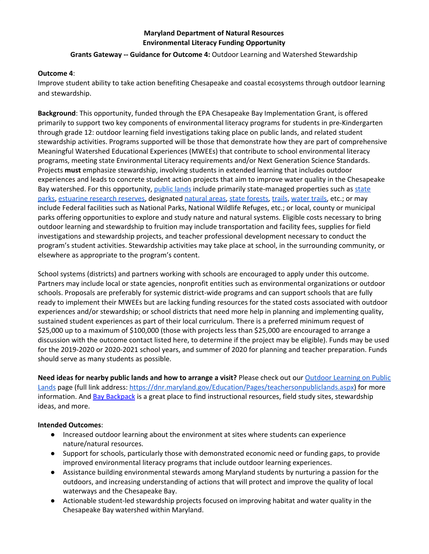# **Maryland Department of Natural Resources Environmental Literacy Funding Opportunity**

## **Grants Gateway -- Guidance for Outcome 4:** Outdoor Learning and Watershed Stewardship

## **Outcome 4**:

Improve student ability to take action benefiting Chesapeake and coastal ecosystems through outdoor learning and stewardship.

**Background**: This opportunity, funded through the EPA Chesapeake Bay Implementation Grant, is offered primarily to support two key components of environmental literacy programs for students in pre-Kindergarten through grade 12: outdoor learning field investigations taking place on public lands, and related student stewardship activities. Programs supported will be those that demonstrate how they are part of comprehensive Meaningful Watershed Educational Experiences (MWEEs) that contribute to school environmental literacy programs, meeting state Environmental Literacy requirements and/or Next Generation Science Standards. Projects **must** emphasize stewardship, involving students in extended learning that includes outdoor experiences and leads to concrete student action projects that aim to improve water quality in the Chesapeake Bay watershed. For this opportunity, [public](https://dnr.maryland.gov/Education/Pages/teachersonpubliclands.aspx) lands include primarily state-managed properties such as [state](https://dnr.maryland.gov/Publiclands/Pages/parkmap.aspx) [parks](https://dnr.maryland.gov/Publiclands/Pages/parkmap.aspx), [estuarine](https://dnr.maryland.gov/waters/cbnerr/Pages/default.aspx) research reserves, designated [natural](https://dnr.maryland.gov/wildlife/Pages/NaturalAreas/home.aspx) areas, state [forests](https://dnr.maryland.gov/forests/Pages/mdforests.aspx), [trails](https://dnr.maryland.gov/mdtrails/Pages/default.aspx), [water](https://dnr.maryland.gov/Boating/Pages/mdwatertrails.aspx) trails, etc.; or may include Federal facilities such as National Parks, National Wildlife Refuges, etc.; or local, county or municipal parks offering opportunities to explore and study nature and natural systems. Eligible costs necessary to bring outdoor learning and stewardship to fruition may include transportation and facility fees, supplies for field investigations and stewardship projects, and teacher professional development necessary to conduct the program's student activities. Stewardship activities may take place at school, in the surrounding community, or elsewhere as appropriate to the program's content.

School systems (districts) and partners working with schools are encouraged to apply under this outcome. Partners may include local or state agencies, nonprofit entities such as environmental organizations or outdoor schools. Proposals are preferably for systemic district-wide programs and can support schools that are fully ready to implement their MWEEs but are lacking funding resources for the stated costs associated with outdoor experiences and/or stewardship; or school districts that need more help in planning and implementing quality, sustained student experiences as part of their local curriculum. There is a preferred minimum request of \$25,000 up to a maximum of \$100,000 (those with projects less than \$25,000 are encouraged to arrange a discussion with the outcome contact listed here, to determine if the project may be eligible). Funds may be used for the 2019-2020 or 2020-2021 school years, and summer of 2020 for planning and teacher preparation. Funds should serve as many students as possible.

**Need ideas for nearby public lands and how to arrange a visit?** Please check out our Outdoor [Learning](https://dnr.maryland.gov/Education/Pages/teachersonpubliclands.aspx) on Public [Lands](https://dnr.maryland.gov/Education/Pages/teachersonpubliclands.aspx) page (full link address: [https://dnr.maryland.gov/Education/Pages/teachersonpubliclands.aspx\)](https://dnr.maryland.gov/Education/Pages/teachersonpubliclands.aspx) for more information. And Bay [Backpack](http://baybackpack.com/) is a great place to find instructional resources, field study sites, stewardship ideas, and more.

## **Intended Outcomes**:

- Increased outdoor learning about the environment at sites where students can experience nature/natural resources.
- Support for schools, particularly those with demonstrated economic need or funding gaps, to provide improved environmental literacy programs that include outdoor learning experiences.
- Assistance building environmental stewards among Maryland students by nurturing a passion for the outdoors, and increasing understanding of actions that will protect and improve the quality of local waterways and the Chesapeake Bay.
- Actionable student-led stewardship projects focused on improving habitat and water quality in the Chesapeake Bay watershed within Maryland.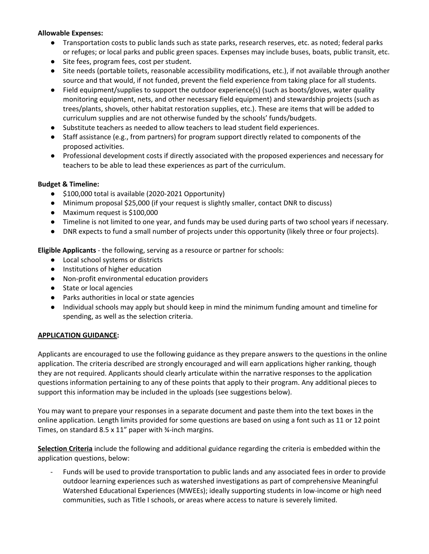## **Allowable Expenses:**

- Transportation costs to public lands such as state parks, research reserves, etc. as noted; federal parks or refuges; or local parks and public green spaces. Expenses may include buses, boats, public transit, etc.
- Site fees, program fees, cost per student.
- Site needs (portable toilets, reasonable accessibility modifications, etc.), if not available through another source and that would, if not funded, prevent the field experience from taking place for all students.
- Field equipment/supplies to support the outdoor experience(s) (such as boots/gloves, water quality monitoring equipment, nets, and other necessary field equipment) and stewardship projects (such as trees/plants, shovels, other habitat restoration supplies, etc.). These are items that will be added to curriculum supplies and are not otherwise funded by the schools' funds/budgets.
- Substitute teachers as needed to allow teachers to lead student field experiences.
- Staff assistance (e.g., from partners) for program support directly related to components of the proposed activities.
- Professional development costs if directly associated with the proposed experiences and necessary for teachers to be able to lead these experiences as part of the curriculum.

## **Budget & Timeline:**

- \$100,000 total is available (2020-2021 Opportunity)
- Minimum proposal \$25,000 (if your request is slightly smaller, contact DNR to discuss)
- Maximum request is \$100,000
- Timeline is not limited to one year, and funds may be used during parts of two school years if necessary.
- DNR expects to fund a small number of projects under this opportunity (likely three or four projects).

**Eligible Applicants** - the following, serving as a resource or partner for schools:

- Local school systems or districts
- Institutions of higher education
- Non-profit environmental education providers
- State or local agencies
- Parks authorities in local or state agencies
- Individual schools may apply but should keep in mind the minimum funding amount and timeline for spending, as well as the selection criteria.

#### **APPLICATION GUIDANCE:**

Applicants are encouraged to use the following guidance as they prepare answers to the questions in the online application. The criteria described are strongly encouraged and will earn applications higher ranking, though they are not required. Applicants should clearly articulate within the narrative responses to the application questions information pertaining to any of these points that apply to their program. Any additional pieces to support this information may be included in the uploads (see suggestions below).

You may want to prepare your responses in a separate document and paste them into the text boxes in the online application. Length limits provided for some questions are based on using a font such as 11 or 12 point Times, on standard 8.5 x 11" paper with ¾-inch margins.

**Selection Criteria** include the following and additional guidance regarding the criteria is embedded within the application questions, below:

Funds will be used to provide transportation to public lands and any associated fees in order to provide outdoor learning experiences such as watershed investigations as part of comprehensive Meaningful Watershed Educational Experiences (MWEEs); ideally supporting students in low-income or high need communities, such as Title I schools, or areas where access to nature is severely limited.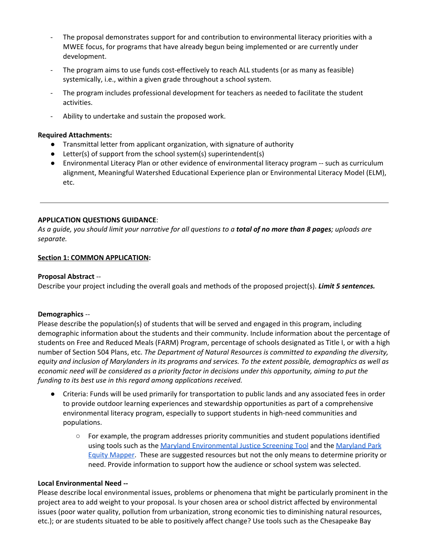- The proposal demonstrates support for and contribution to environmental literacy priorities with a MWEE focus, for programs that have already begun being implemented or are currently under development.
- The program aims to use funds cost-effectively to reach ALL students (or as many as feasible) systemically, i.e., within a given grade throughout a school system.
- The program includes professional development for teachers as needed to facilitate the student activities.
- Ability to undertake and sustain the proposed work.

## **Required Attachments:**

- Transmittal letter from applicant organization, with signature of authority
- Letter(s) of support from the school system(s) superintendent(s)
- Environmental Literacy Plan or other evidence of environmental literacy program -- such as curriculum alignment, Meaningful Watershed Educational Experience plan or Environmental Literacy Model (ELM), etc.

## **APPLICATION QUESTIONS GUIDANCE**:

As a guide, you should limit your narrative for all questions to a **total of no more than 8 pages**; uploads are *separate.*

#### **Section 1: COMMON APPLICATION:**

#### **Proposal Abstract** --

Describe your project including the overall goals and methods of the proposed project(s). *Limit 5 sentences.*

#### **Demographics** --

Please describe the population(s) of students that will be served and engaged in this program, including demographic information about the students and their community. Include information about the percentage of students on Free and Reduced Meals (FARM) Program, percentage of schools designated as Title I, or with a high number of Section 504 Plans, etc. *The Department of Natural Resources is committed to expanding the diversity,* equity and inclusion of Marylanders in its programs and services. To the extent possible, demographics as well as economic need will be considered as a priority factor in decisions under this opportunity, aiming to put the *funding to its best use in this regard among applications received.*

- Criteria: Funds will be used primarily for transportation to public lands and any associated fees in order to provide outdoor learning experiences and stewardship opportunities as part of a comprehensive environmental literacy program, especially to support students in high-need communities and populations.
	- For example, the program addresses priority communities and student populations identified using tools such as the Maryland [Environmental](http://www.umdsmartgrowth.org/what-we-do/tools/maryland-environmental-justice-screening-tool/) Justice Screening Tool and the [Maryland](http://maryland.maps.arcgis.com/apps/webappviewer/index.html?id=58402cc8e38141cfb797d0e46a07a23b&shareWithWebMap=true) Park Equity [Mapper](http://maryland.maps.arcgis.com/apps/webappviewer/index.html?id=58402cc8e38141cfb797d0e46a07a23b&shareWithWebMap=true). These are suggested resources but not the only means to determine priority or need. Provide information to support how the audience or school system was selected.

## **Local Environmental Need --**

Please describe local environmental issues, problems or phenomena that might be particularly prominent in the project area to add weight to your proposal. Is your chosen area or school district affected by environmental issues (poor water quality, pollution from urbanization, strong economic ties to diminishing natural resources, etc.); or are students situated to be able to positively affect change? Use tools such as the Chesapeake Bay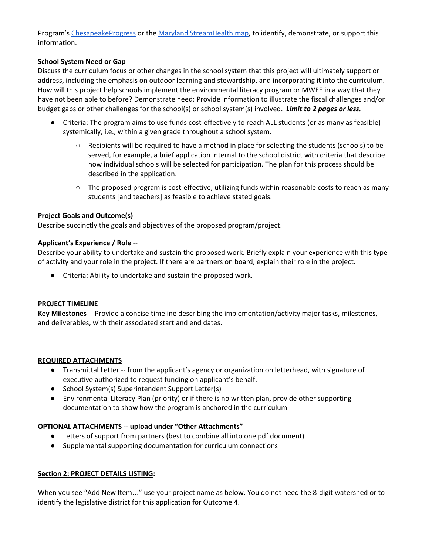Program's [ChesapeakeProgress](https://www.chesapeakeprogress.com/clean-water/healthy-watersheds) or the Maryland [StreamHealth](https://geodata.md.gov/streamhealth/) map, to identify, demonstrate, or support this information.

## **School System Need or Gap**--

Discuss the curriculum focus or other changes in the school system that this project will ultimately support or address, including the emphasis on outdoor learning and stewardship, and incorporating it into the curriculum. How will this project help schools implement the environmental literacy program or MWEE in a way that they have not been able to before? Demonstrate need: Provide information to illustrate the fiscal challenges and/or budget gaps or other challenges for the school(s) or school system(s) involved. *Limit to 2 pages or less.*

- Criteria: The program aims to use funds cost-effectively to reach ALL students (or as many as feasible) systemically, i.e., within a given grade throughout a school system.
	- Recipients will be required to have a method in place for selecting the students (schools) to be served, for example, a brief application internal to the school district with criteria that describe how individual schools will be selected for participation. The plan for this process should be described in the application.
	- The proposed program is cost-effective, utilizing funds within reasonable costs to reach as many students [and teachers] as feasible to achieve stated goals.

## **Project Goals and Outcome(s)** --

Describe succinctly the goals and objectives of the proposed program/project.

## **Applicant's Experience / Role** --

Describe your ability to undertake and sustain the proposed work. Briefly explain your experience with this type of activity and your role in the project. If there are partners on board, explain their role in the project.

● Criteria: Ability to undertake and sustain the proposed work.

## **PROJECT TIMELINE**

**Key Milestones** -- Provide a concise timeline describing the implementation/activity major tasks, milestones, and deliverables, with their associated start and end dates.

## **REQUIRED ATTACHMENTS**

- Transmittal Letter -- from the applicant's agency or organization on letterhead, with signature of executive authorized to request funding on applicant's behalf.
- School System(s) Superintendent Support Letter(s)
- Environmental Literacy Plan (priority) or if there is no written plan, provide other supporting documentation to show how the program is anchored in the curriculum

## **OPTIONAL ATTACHMENTS -- upload under "Other Attachments"**

- Letters of support from partners (best to combine all into one pdf document)
- Supplemental supporting documentation for curriculum connections

## **Section 2: PROJECT DETAILS LISTING:**

When you see "Add New Item…" use your project name as below. You do not need the 8-digit watershed or to identify the legislative district for this application for Outcome 4.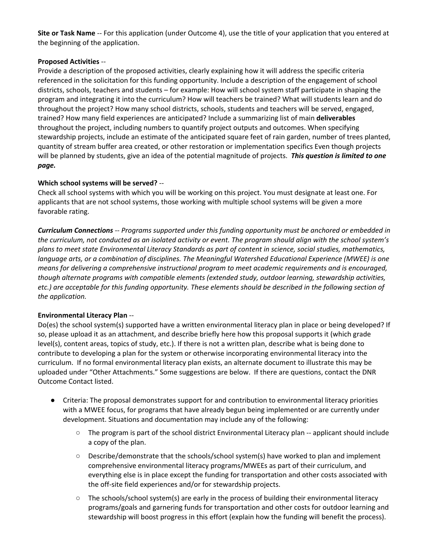**Site or Task Name** -- For this application (under Outcome 4), use the title of your application that you entered at the beginning of the application.

## **Proposed Activities** --

Provide a description of the proposed activities, clearly explaining how it will address the specific criteria referenced in the solicitation for this funding opportunity. Include a description of the engagement of school districts, schools, teachers and students – for example: How will school system staff participate in shaping the program and integrating it into the curriculum? How will teachers be trained? What will students learn and do throughout the project? How many school districts, schools, students and teachers will be served, engaged, trained? How many field experiences are anticipated? Include a summarizing list of main **deliverables** throughout the project, including numbers to quantify project outputs and outcomes. When specifying stewardship projects, include an estimate of the anticipated square feet of rain garden, number of trees planted, quantity of stream buffer area created, or other restoration or implementation specifics Even though projects will be planned by students, give an idea of the potential magnitude of projects. *This question is limited to one page.*

## **Which school systems will be served?** --

Check all school systems with which you will be working on this project. You must designate at least one. For applicants that are not school systems, those working with multiple school systems will be given a more favorable rating.

*Curriculum Connections -- Programs supported under this funding opportunity must be anchored or embedded in* the curriculum, not conducted as an isolated activity or event. The program should align with the school system's *plans to meet state Environmental Literacy Standards as part of content in science, social studies, mathematics, language arts, or a combination of disciplines. The Meaningful Watershed Educational Experience (MWEE) is one means for delivering a comprehensive instructional program to meet academic requirements and is encouraged, though alternate programs with compatible elements (extended study, outdoor learning, stewardship activities,* etc.) are acceptable for this funding opportunity. These elements should be described in the following section of *the application.*

# **Environmental Literacy Plan** --

Do(es) the school system(s) supported have a written environmental literacy plan in place or being developed? If so, please upload it as an attachment, and describe briefly here how this proposal supports it (which grade level(s), content areas, topics of study, etc.). If there is not a written plan, describe what is being done to contribute to developing a plan for the system or otherwise incorporating environmental literacy into the curriculum. If no formal environmental literacy plan exists, an alternate document to illustrate this may be uploaded under "Other Attachments." Some suggestions are below. If there are questions, contact the DNR Outcome Contact listed.

- Criteria: The proposal demonstrates support for and contribution to environmental literacy priorities with a MWEE focus, for programs that have already begun being implemented or are currently under development. Situations and documentation may include any of the following:
	- $\circ$  The program is part of the school district Environmental Literacy plan -- applicant should include a copy of the plan.
	- Describe/demonstrate that the schools/school system(s) have worked to plan and implement comprehensive environmental literacy programs/MWEEs as part of their curriculum, and everything else is in place except the funding for transportation and other costs associated with the off-site field experiences and/or for stewardship projects.
	- $\circ$  The schools/school system(s) are early in the process of building their environmental literacy programs/goals and garnering funds for transportation and other costs for outdoor learning and stewardship will boost progress in this effort (explain how the funding will benefit the process).